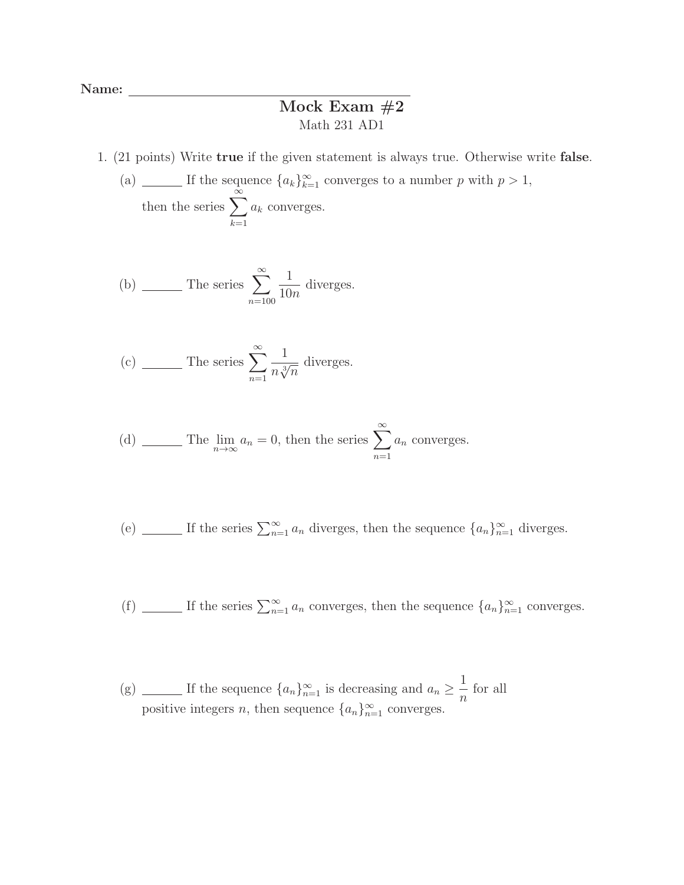Name:

## Mock Exam  $#2$ Math 231 AD1

- 1. (21 points) Write true if the given statement is always true. Otherwise write false.
	- (a) \_\_\_\_\_\_ If the sequence  ${a_k}_{k=1}^{\infty}$  converges to a number p with  $p > 1$ , then the series  $\sum_{n=1}^{\infty}$  $k=1$  $a_k$  converges.

(b) 
$$
\qquad \qquad \text{The series } \sum_{n=100}^{\infty} \frac{1}{10n} \text{ diverges.}
$$

(c) 
$$
\_
$$
 The series  $\sum_{n=1}^{\infty} \frac{1}{n \sqrt[3]{n}}$  diverges.

(d) 
$$
\qquad \qquad \text{The } \lim_{n \to \infty} a_n = 0 \text{, then the series } \sum_{n=1}^{\infty} a_n \text{ converges.}
$$

(e) 
$$
\underline{\hspace{2cm}}
$$
 If the series  $\sum_{n=1}^{\infty} a_n$  diverges, then the sequence  $\{a_n\}_{n=1}^{\infty}$  diverges.

(f)  $\Box$  If the series  $\sum_{n=1}^{\infty} a_n$  converges, then the sequence  $\{a_n\}_{n=1}^{\infty}$  converges.

(g) \_\_\_\_\_\_\_ If the sequence  ${a_n}_{n=1}^{\infty}$  is decreasing and  $a_n \geq \frac{1}{n}$  $\frac{1}{n}$  for all positive integers *n*, then sequence  $\{a_n\}_{n=1}^{\infty}$  converges.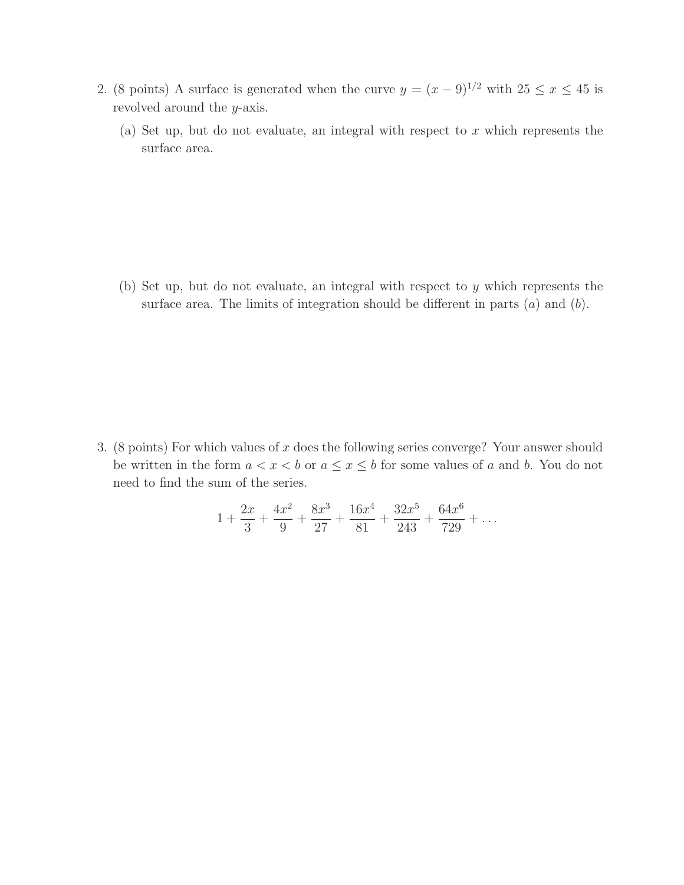- 2. (8 points) A surface is generated when the curve  $y = (x 9)^{1/2}$  with  $25 \le x \le 45$  is revolved around the y-axis.
	- (a) Set up, but do not evaluate, an integral with respect to  $x$  which represents the surface area.

(b) Set up, but do not evaluate, an integral with respect to y which represents the surface area. The limits of integration should be different in parts  $(a)$  and  $(b)$ .

3. (8 points) For which values of  $x$  does the following series converge? Your answer should be written in the form  $a < x < b$  or  $a \le x \le b$  for some values of a and b. You do not need to find the sum of the series.

$$
1 + \frac{2x}{3} + \frac{4x^2}{9} + \frac{8x^3}{27} + \frac{16x^4}{81} + \frac{32x^5}{243} + \frac{64x^6}{729} + \dots
$$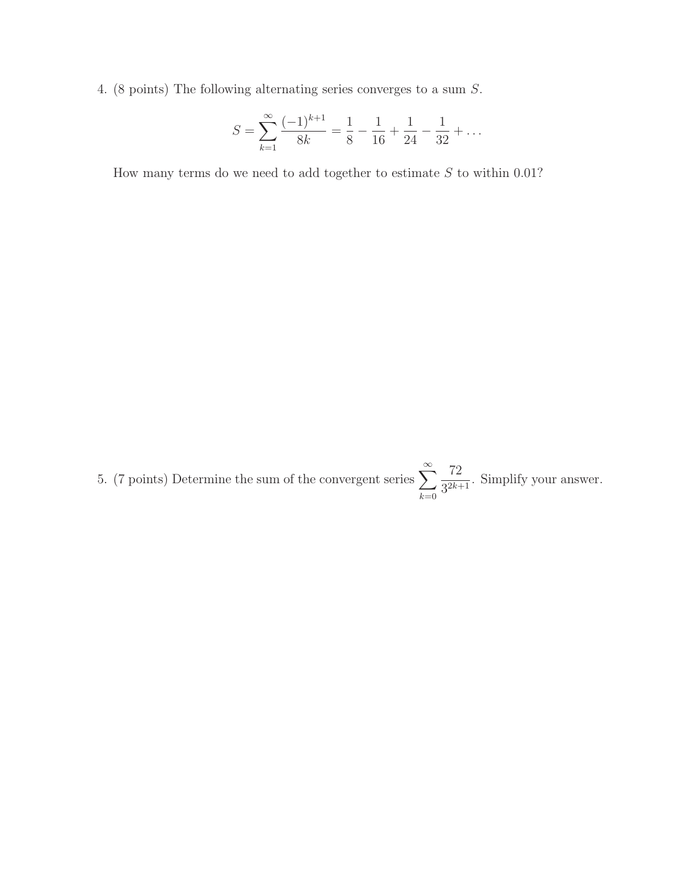4. (8 points) The following alternating series converges to a sum S.

$$
S = \sum_{k=1}^{\infty} \frac{(-1)^{k+1}}{8k} = \frac{1}{8} - \frac{1}{16} + \frac{1}{24} - \frac{1}{32} + \dots
$$

How many terms do we need to add together to estimate  $S$  to within 0.01?

5. (7 points) Determine the sum of the convergent series  $\sum_{n=1}^{\infty}$  $k=0$ 72  $\frac{12}{3^{2k+1}}$ . Simplify your answer.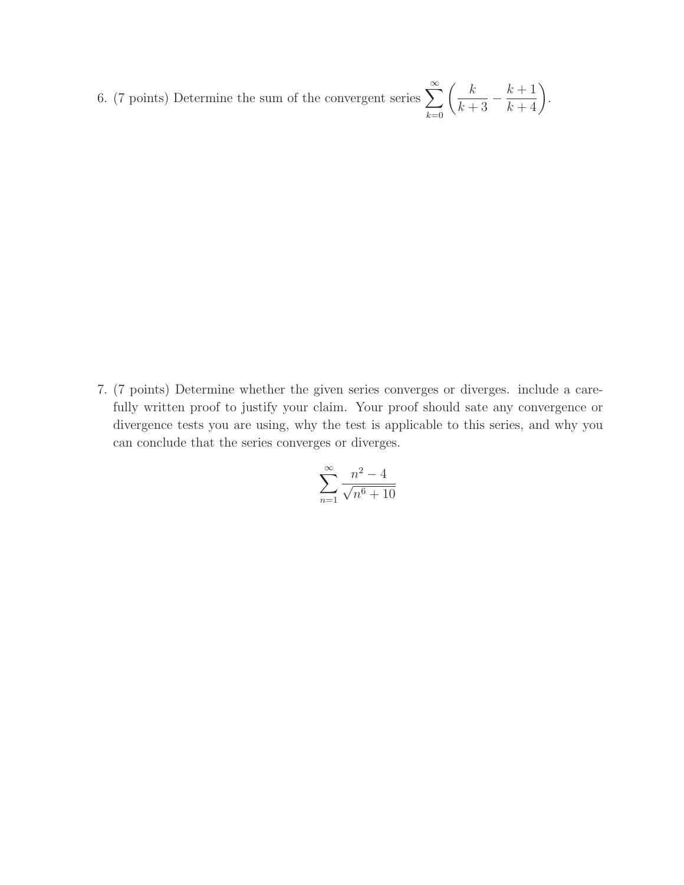6. (7 points) Determine the sum of the convergent series  $\sum_{n=0}^{\infty}$  $k=0$  $\begin{pmatrix} k \\ k \end{pmatrix}$  $\overline{k+3}$  –  $\left(\frac{k+1}{k+4}\right)$ .

7. (7 points) Determine whether the given series converges or diverges. include a carefully written proof to justify your claim. Your proof should sate any convergence or divergence tests you are using, why the test is applicable to this series, and why you can conclude that the series converges or diverges.

$$
\sum_{n=1}^{\infty} \frac{n^2 - 4}{\sqrt{n^6 + 10}}
$$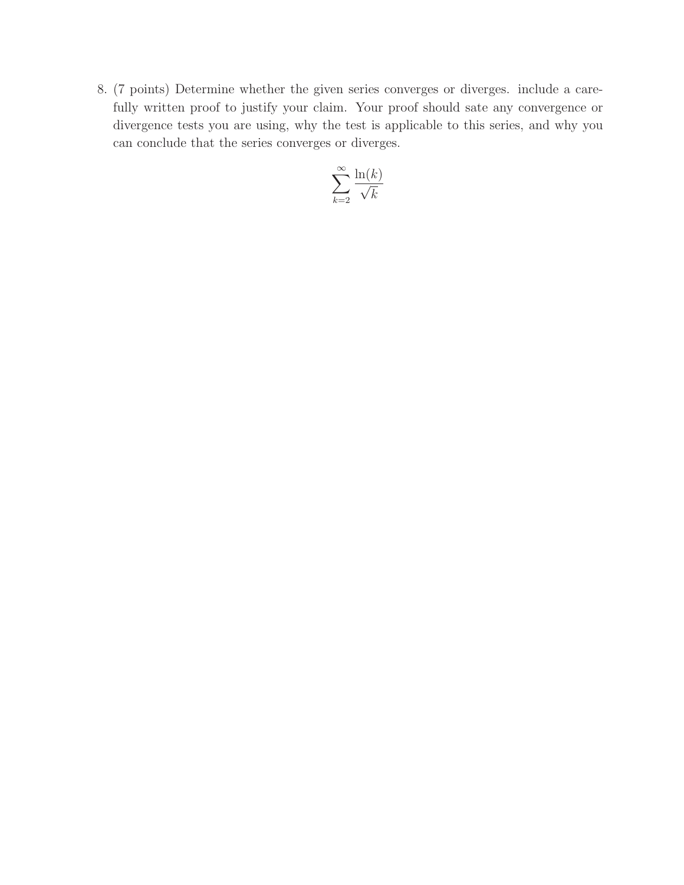8. (7 points) Determine whether the given series converges or diverges. include a carefully written proof to justify your claim. Your proof should sate any convergence or divergence tests you are using, why the test is applicable to this series, and why you can conclude that the series converges or diverges.

$$
\sum_{k=2}^{\infty} \frac{\ln(k)}{\sqrt{k}}
$$